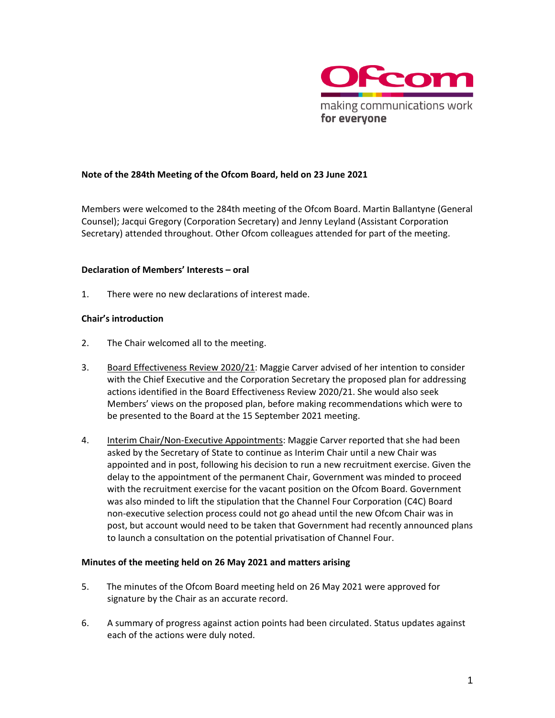

# **Note of the 284th Meeting of the Ofcom Board, held on 23 June 2021**

Members were welcomed to the 284th meeting of the Ofcom Board. Martin Ballantyne (General Counsel); Jacqui Gregory (Corporation Secretary) and Jenny Leyland (Assistant Corporation Secretary) attended throughout. Other Ofcom colleagues attended for part of the meeting.

#### **Declaration of Members' Interests – oral**

1. There were no new declarations of interest made.

#### **Chair's introduction**

- 2. The Chair welcomed all to the meeting.
- 3. Board Effectiveness Review 2020/21: Maggie Carver advised of her intention to consider with the Chief Executive and the Corporation Secretary the proposed plan for addressing actions identified in the Board Effectiveness Review 2020/21. She would also seek Members' views on the proposed plan, before making recommendations which were to be presented to the Board at the 15 September 2021 meeting.
- 4. Interim Chair/Non-Executive Appointments: Maggie Carver reported that she had been asked by the Secretary of State to continue as Interim Chair until a new Chair was appointed and in post, following his decision to run a new recruitment exercise. Given the delay to the appointment of the permanent Chair, Government was minded to proceed with the recruitment exercise for the vacant position on the Ofcom Board. Government was also minded to lift the stipulation that the Channel Four Corporation (C4C) Board non-executive selection process could not go ahead until the new Ofcom Chair was in post, but account would need to be taken that Government had recently announced plans to launch a consultation on the potential privatisation of Channel Four.

#### **Minutes of the meeting held on 26 May 2021 and matters arising**

- 5. The minutes of the Ofcom Board meeting held on 26 May 2021 were approved for signature by the Chair as an accurate record.
- 6. A summary of progress against action points had been circulated. Status updates against each of the actions were duly noted.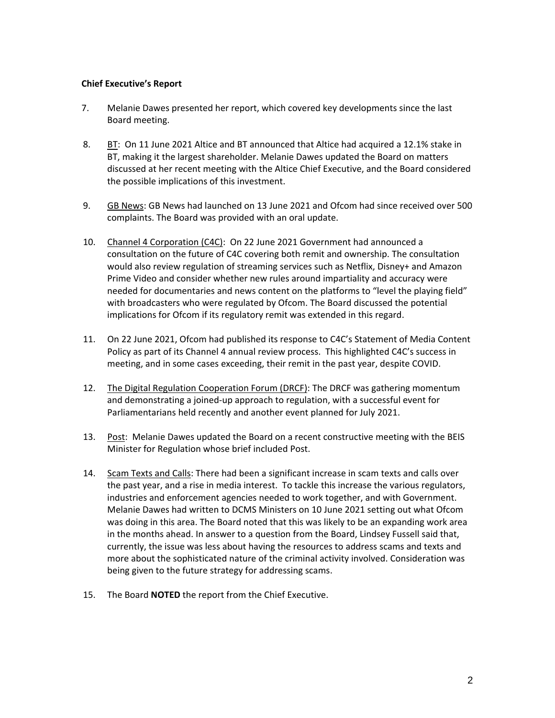## **Chief Executive's Report**

- 7. Melanie Dawes presented her report, which covered key developments since the last Board meeting.
- 8. BT: On 11 June 2021 Altice and BT announced that Altice had acquired a 12.1% stake in BT, making it the largest shareholder. Melanie Dawes updated the Board on matters discussed at her recent meeting with the Altice Chief Executive, and the Board considered the possible implications of this investment.
- 9. GB News: GB News had launched on 13 June 2021 and Ofcom had since received over 500 complaints. The Board was provided with an oral update.
- 10. Channel 4 Corporation (C4C): On 22 June 2021 Government had announced a consultation on the future of C4C covering both remit and ownership. The consultation would also review regulation of streaming services such as Netflix, Disney+ and Amazon Prime Video and consider whether new rules around impartiality and accuracy were needed for documentaries and news content on the platforms to "level the playing field" with broadcasters who were regulated by Ofcom. The Board discussed the potential implications for Ofcom if its regulatory remit was extended in this regard.
- 11. On 22 June 2021, Ofcom had published its response to C4C's Statement of Media Content Policy as part of its Channel 4 annual review process. This highlighted C4C's success in meeting, and in some cases exceeding, their remit in the past year, despite COVID.
- 12. The Digital Regulation Cooperation Forum (DRCF): The DRCF was gathering momentum and demonstrating a joined-up approach to regulation, with a successful event for Parliamentarians held recently and another event planned for July 2021.
- 13. Post: Melanie Dawes updated the Board on a recent constructive meeting with the BEIS Minister for Regulation whose brief included Post.
- 14. Scam Texts and Calls: There had been a significant increase in scam texts and calls over the past year, and a rise in media interest. To tackle this increase the various regulators, industries and enforcement agencies needed to work together, and with Government. Melanie Dawes had written to DCMS Ministers on 10 June 2021 setting out what Ofcom was doing in this area. The Board noted that this was likely to be an expanding work area in the months ahead. In answer to a question from the Board, Lindsey Fussell said that, currently, the issue was less about having the resources to address scams and texts and more about the sophisticated nature of the criminal activity involved. Consideration was being given to the future strategy for addressing scams.
- 15. The Board **NOTED** the report from the Chief Executive.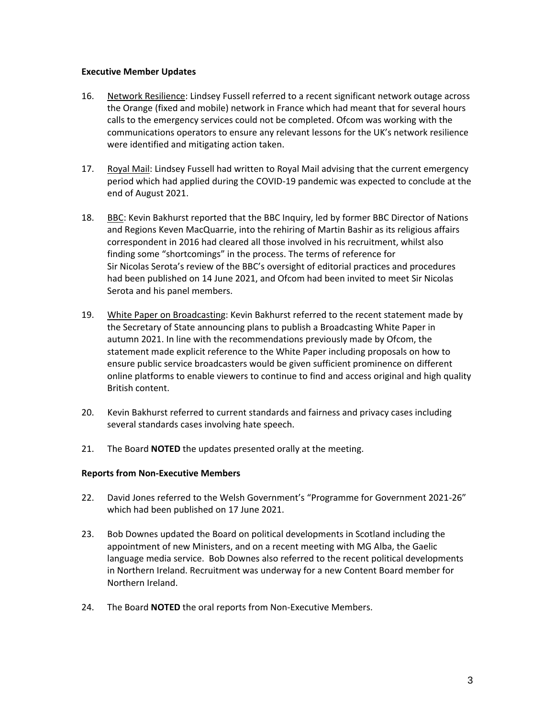#### **Executive Member Updates**

- 16. Network Resilience: Lindsey Fussell referred to a recent significant network outage across the Orange (fixed and mobile) network in France which had meant that for several hours calls to the emergency services could not be completed. Ofcom was working with the communications operators to ensure any relevant lessons for the UK's network resilience were identified and mitigating action taken.
- 17. Royal Mail: Lindsey Fussell had written to Royal Mail advising that the current emergency period which had applied during the COVID-19 pandemic was expected to conclude at the end of August 2021.
- 18. BBC: Kevin Bakhurst reported that the BBC Inquiry, led by former BBC Director of Nations and Regions Keven MacQuarrie, into the rehiring of Martin Bashir as its religious affairs correspondent in 2016 had cleared all those involved in his recruitment, whilst also finding some "shortcomings" in the process. The terms of reference for Sir Nicolas Serota's review of the BBC's oversight of editorial practices and procedures had been published on 14 June 2021, and Ofcom had been invited to meet Sir Nicolas Serota and his panel members.
- 19. White Paper on Broadcasting: Kevin Bakhurst referred to the recent statement made by the Secretary of State announcing plans to publish a Broadcasting White Paper in autumn 2021. In line with the recommendations previously made by Ofcom, the statement made explicit reference to the White Paper including proposals on how to ensure public service broadcasters would be given sufficient prominence on different online platforms to enable viewers to continue to find and access original and high quality British content.
- 20. Kevin Bakhurst referred to current standards and fairness and privacy cases including several standards cases involving hate speech.
- 21. The Board **NOTED** the updates presented orally at the meeting.

# **Reports from Non-Executive Members**

- 22. David Jones referred to the Welsh Government's "Programme for Government 2021-26" which had been published on 17 June 2021.
- 23. Bob Downes updated the Board on political developments in Scotland including the appointment of new Ministers, and on a recent meeting with MG Alba, the Gaelic language media service. Bob Downes also referred to the recent political developments in Northern Ireland. Recruitment was underway for a new Content Board member for Northern Ireland.
- 24. The Board **NOTED** the oral reports from Non-Executive Members.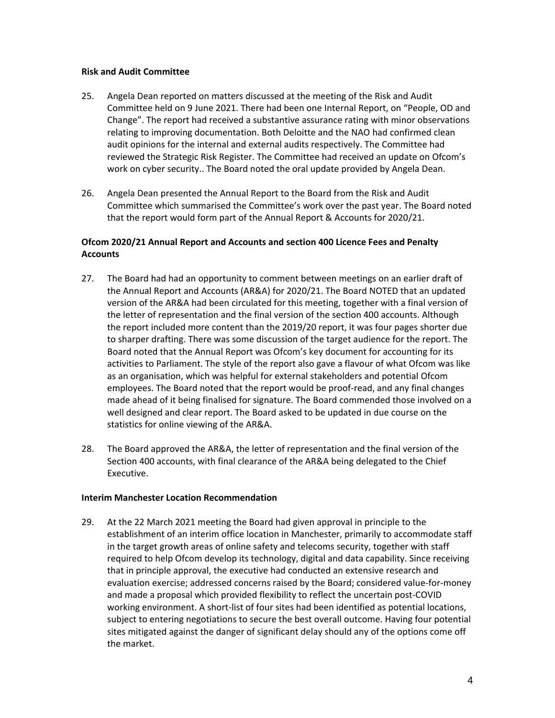#### **Risk and Audit Committee**

- 25. Angela Dean reported on matters discussed at the meeting of the Risk and Audit Committee held on 9 June 2021. There had been one Internal Report, on "People, OD and Change". The report had received a substantive assurance rating with minor observations relating to improving documentation. Both Deloitte and the NAO had confirmed clean audit opinions for the internal and external audits respectively. The Committee had reviewed the Strategic Risk Register. The Committee had received an update on Ofcom's work on cyber security.. The Board noted the oral update provided by Angela Dean.
- 26. Angela Dean presented the Annual Report to the Board from the Risk and Audit Committee which summarised the Committee's work over the past year. The Board noted that the report would form part of the Annual Report & Accounts for 2020/21.

# **Ofcom 2020/21 Annual Report and Accounts and section 400 Licence Fees and Penalty Accounts**

- 27. The Board had had an opportunity to comment between meetings on an earlier draft of the Annual Report and Accounts (AR&A) for 2020/21. The Board NOTED that an updated version of the AR&A had been circulated for this meeting, together with a final version of the letter of representation and the final version of the section 400 accounts. Although the report included more content than the 2019/20 report, it was four pages shorter due to sharper drafting. There was some discussion of the target audience for the report. The Board noted that the Annual Report was Ofcom's key document for accounting for its activities to Parliament. The style of the report also gave a flavour of what Ofcom was like as an organisation, which was helpful for external stakeholders and potential Ofcom employees. The Board noted that the report would be proof-read, and any final changes made ahead of it being finalised for signature. The Board commended those involved on a well designed and clear report. The Board asked to be updated in due course on the statistics for online viewing of the AR&A.
- 28. The Board approved the AR&A, the letter of representation and the final version of the Section 400 accounts, with final clearance of the AR&A being delegated to the Chief Executive.

# **Interim Manchester Location Recommendation**

29. At the 22 March 2021 meeting the Board had given approval in principle to the establishment of an interim office location in Manchester, primarily to accommodate staff in the target growth areas of online safety and telecoms security, together with staff required to help Ofcom develop its technology, digital and data capability. Since receiving that in principle approval, the executive had conducted an extensive research and evaluation exercise; addressed concerns raised by the Board; considered value-for-money and made a proposal which provided flexibility to reflect the uncertain post-COVID working environment. A short-list of four sites had been identified as potential locations, subject to entering negotiations to secure the best overall outcome. Having four potential sites mitigated against the danger of significant delay should any of the options come off the market.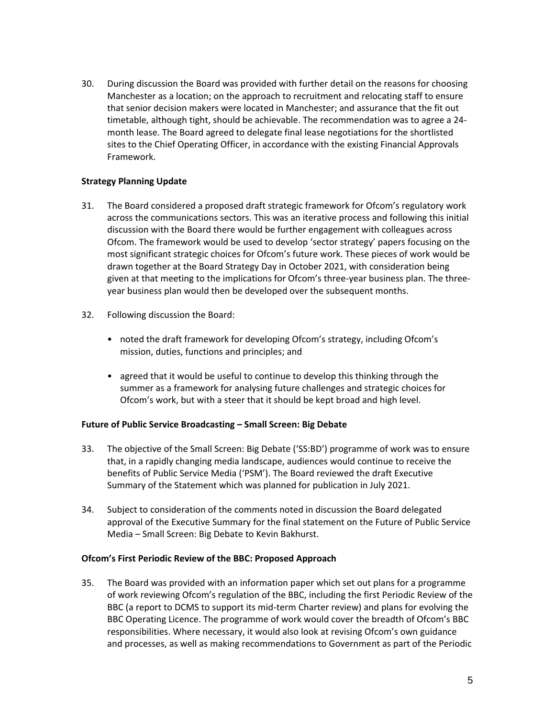30. During discussion the Board was provided with further detail on the reasons for choosing Manchester as a location; on the approach to recruitment and relocating staff to ensure that senior decision makers were located in Manchester; and assurance that the fit out timetable, although tight, should be achievable. The recommendation was to agree a 24 month lease. The Board agreed to delegate final lease negotiations for the shortlisted sites to the Chief Operating Officer, in accordance with the existing Financial Approvals Framework.

# **Strategy Planning Update**

- 31. The Board considered a proposed draft strategic framework for Ofcom's regulatory work across the communications sectors. This was an iterative process and following this initial discussion with the Board there would be further engagement with colleagues across Ofcom. The framework would be used to develop 'sector strategy' papers focusing on the most significant strategic choices for Ofcom's future work. These pieces of work would be drawn together at the Board Strategy Day in October 2021, with consideration being given at that meeting to the implications for Ofcom's three-year business plan. The threeyear business plan would then be developed over the subsequent months.
- 32. Following discussion the Board:
	- noted the draft framework for developing Ofcom's strategy, including Ofcom's mission, duties, functions and principles; and
	- agreed that it would be useful to continue to develop this thinking through the summer as a framework for analysing future challenges and strategic choices for Ofcom's work, but with a steer that it should be kept broad and high level.

# **Future of Public Service Broadcasting – Small Screen: Big Debate**

- 33. The objective of the Small Screen: Big Debate ('SS:BD') programme of work was to ensure that, in a rapidly changing media landscape, audiences would continue to receive the benefits of Public Service Media ('PSM'). The Board reviewed the draft Executive Summary of the Statement which was planned for publication in July 2021.
- 34. Subject to consideration of the comments noted in discussion the Board delegated approval of the Executive Summary for the final statement on the Future of Public Service Media – Small Screen: Big Debate to Kevin Bakhurst.

# **Ofcom's First Periodic Review of the BBC: Proposed Approach**

35. The Board was provided with an information paper which set out plans for a programme of work reviewing Ofcom's regulation of the BBC, including the first Periodic Review of the BBC (a report to DCMS to support its mid-term Charter review) and plans for evolving the BBC Operating Licence. The programme of work would cover the breadth of Ofcom's BBC responsibilities. Where necessary, it would also look at revising Ofcom's own guidance and processes, as well as making recommendations to Government as part of the Periodic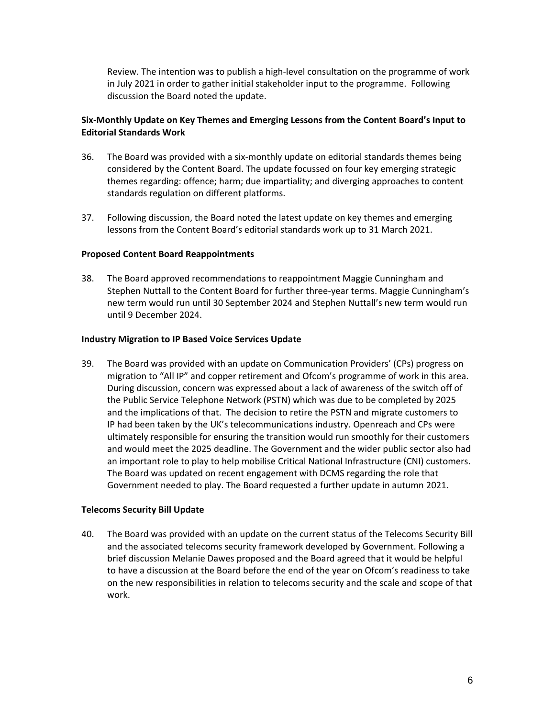Review. The intention was to publish a high-level consultation on the programme of work in July 2021 in order to gather initial stakeholder input to the programme. Following discussion the Board noted the update.

# **Six-Monthly Update on Key Themes and Emerging Lessons from the Content Board's Input to Editorial Standards Work**

- 36. The Board was provided with a six-monthly update on editorial standards themes being considered by the Content Board. The update focussed on four key emerging strategic themes regarding: offence; harm; due impartiality; and diverging approaches to content standards regulation on different platforms.
- 37. Following discussion, the Board noted the latest update on key themes and emerging lessons from the Content Board's editorial standards work up to 31 March 2021.

# **Proposed Content Board Reappointments**

38. The Board approved recommendations to reappointment Maggie Cunningham and Stephen Nuttall to the Content Board for further three-year terms. Maggie Cunningham's new term would run until 30 September 2024 and Stephen Nuttall's new term would run until 9 December 2024.

#### **Industry Migration to IP Based Voice Services Update**

39. The Board was provided with an update on Communication Providers' (CPs) progress on migration to "All IP" and copper retirement and Ofcom's programme of work in this area. During discussion, concern was expressed about a lack of awareness of the switch off of the Public Service Telephone Network (PSTN) which was due to be completed by 2025 and the implications of that. The decision to retire the PSTN and migrate customers to IP had been taken by the UK's telecommunications industry. Openreach and CPs were ultimately responsible for ensuring the transition would run smoothly for their customers and would meet the 2025 deadline. The Government and the wider public sector also had an important role to play to help mobilise Critical National Infrastructure (CNI) customers. The Board was updated on recent engagement with DCMS regarding the role that Government needed to play. The Board requested a further update in autumn 2021.

# **Telecoms Security Bill Update**

40. The Board was provided with an update on the current status of the Telecoms Security Bill and the associated telecoms security framework developed by Government. Following a brief discussion Melanie Dawes proposed and the Board agreed that it would be helpful to have a discussion at the Board before the end of the year on Ofcom's readiness to take on the new responsibilities in relation to telecoms security and the scale and scope of that work.